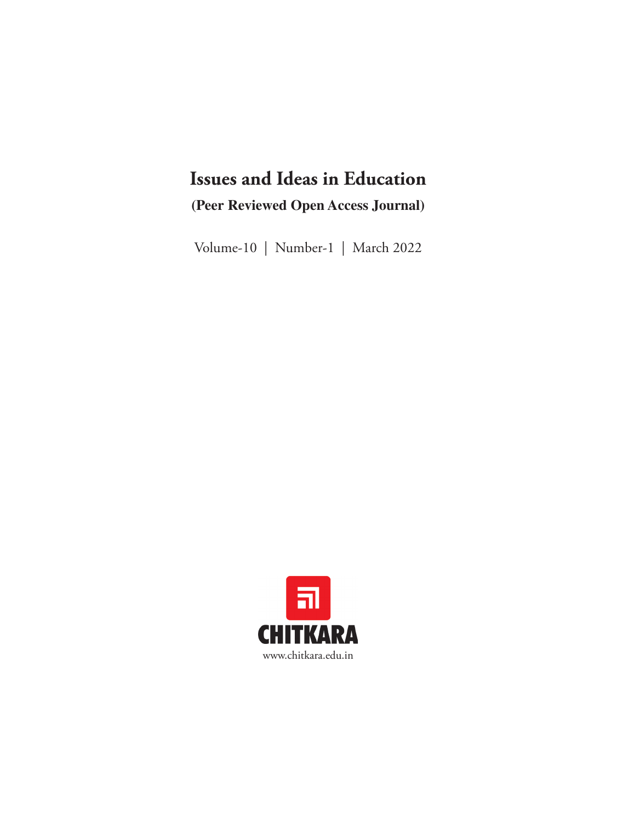## **Issues and Ideas in Education (Peer Reviewed Open Access Journal)**

Volume-10 | Number-1 | March 2022